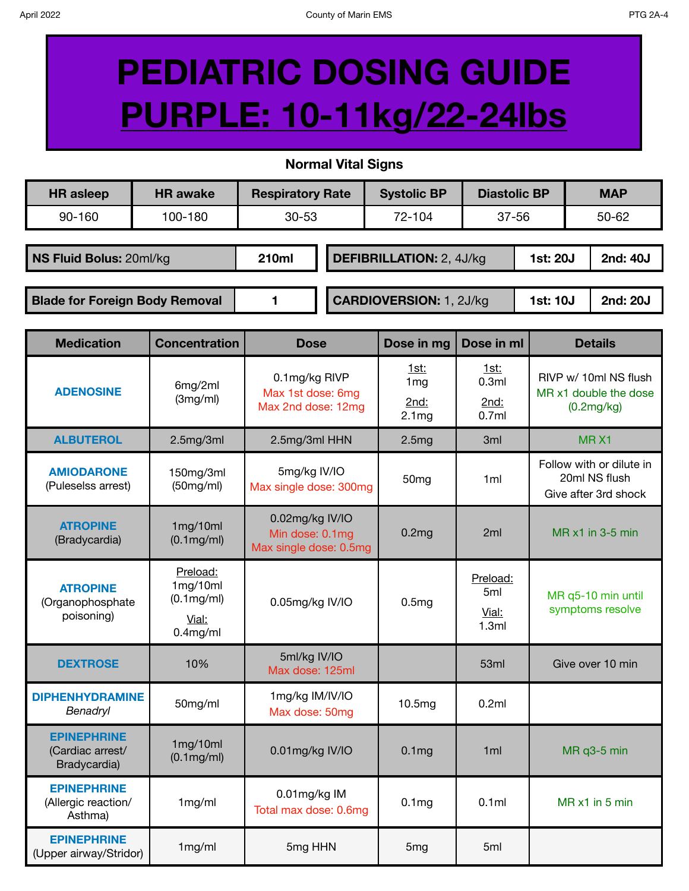## **PEDIATRIC DOSING GUIDE PURPLE: 10-11kg/22-24lbs**

**Normal Vital Signs**

| <b>HR</b> asleep                                                                                | <b>HR</b> awake | <b>Respiratory Rate</b>         |  | <b>Systolic BP</b> | <b>Diastolic BP</b> |  | <b>MAP</b> |  |
|-------------------------------------------------------------------------------------------------|-----------------|---------------------------------|--|--------------------|---------------------|--|------------|--|
| 90-160                                                                                          | 100-180         | $30 - 53$                       |  | 72-104             | 37-56               |  | $50 - 62$  |  |
| NS Fluid Bolus: 20ml/kg                                                                         | 210ml           | <b>DEFIBRILLATION: 2, 4J/kg</b> |  |                    | 1st: 20J            |  | 2nd: 40J   |  |
| <b>CARDIOVERSION: 1, 2J/kg</b><br><b>Blade for Foreign Body Removal</b><br>2nd: 20J<br>1st: 10J |                 |                                 |  |                    |                     |  |            |  |

| <b>Medication</b>                                      | <b>Concentration</b>                                       | <b>Dose</b>                                                  | Dose in mg                                           | Dose in ml                        | <b>Details</b>                                                    |
|--------------------------------------------------------|------------------------------------------------------------|--------------------------------------------------------------|------------------------------------------------------|-----------------------------------|-------------------------------------------------------------------|
| <b>ADENOSINE</b>                                       | 6mg/2ml<br>(3mg/ml)                                        | 0.1mg/kg RIVP<br>Max 1st dose: 6mg<br>Max 2nd dose: 12mg     | 1st:<br>1 <sub>mg</sub><br>2nd:<br>2.1 <sub>mg</sub> | 1st:<br>0.3ml<br>2nd:<br>0.7ml    | RIVP w/ 10ml NS flush<br>MR x1 double the dose<br>(0.2mg/kg)      |
| <b>ALBUTEROL</b>                                       | 2.5mg/3ml                                                  | 2.5mg/3ml HHN                                                | 2.5mg                                                | 3ml                               | MRX1                                                              |
| <b>AMIODARONE</b><br>(Puleselss arrest)                | 150mg/3ml<br>(50mg/ml)                                     | 5mg/kg IV/IO<br>50 <sub>mg</sub><br>Max single dose: 300mg   |                                                      | 1ml                               | Follow with or dilute in<br>20ml NS flush<br>Give after 3rd shock |
| <b>ATROPINE</b><br>(Bradycardia)                       | 1mg/10ml<br>$(0.1$ mg/ml $)$                               | 0.02mg/kg IV/IO<br>Min dose: 0.1mg<br>Max single dose: 0.5mg | 0.2 <sub>mg</sub>                                    | 2ml                               | $MR \times 1$ in 3-5 min                                          |
| <b>ATROPINE</b><br>(Organophosphate<br>poisoning)      | Preload:<br>1mg/10ml<br>(0.1mg/ml)<br>Vial:<br>$0.4$ mg/ml | 0.05mg/kg IV/IO                                              | 0.5mg                                                | Preload:<br>5ml<br>Vial:<br>1.3ml | MR q5-10 min until<br>symptoms resolve                            |
| <b>DEXTROSE</b>                                        | 10%                                                        | 5ml/kg IV/IO<br>Max dose: 125ml                              |                                                      | 53ml                              | Give over 10 min                                                  |
| <b>DIPHENHYDRAMINE</b><br>Benadryl                     | 50mg/ml                                                    | 1mg/kg IM/IV/IO<br>Max dose: 50mg                            | 10.5mg                                               | 0.2ml                             |                                                                   |
| <b>EPINEPHRINE</b><br>(Cardiac arrest/<br>Bradycardia) | 1mg/10ml<br>$(0.1$ mg/ml $)$                               | 0.01mg/kg IV/IO                                              | 0.1 <sub>mg</sub>                                    | 1 <sub>m</sub>                    | MR q3-5 min                                                       |
| <b>EPINEPHRINE</b><br>(Allergic reaction/<br>Asthma)   | 1mg/ml                                                     | 0.01mg/kg IM<br>Total max dose: 0.6mg                        | 0.1 <sub>mg</sub>                                    | 0.1ml                             | MR x1 in 5 min                                                    |
| <b>EPINEPHRINE</b><br>(Upper airway/Stridor)           | 1mg/ml                                                     | 5mg HHN                                                      | 5 <sub>mg</sub>                                      | 5ml                               |                                                                   |